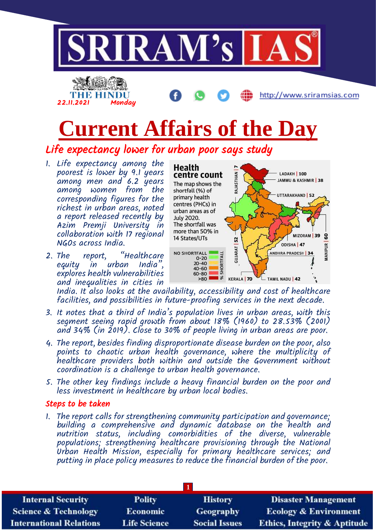

2. The report, "Healthcare equity in urban India", explores health vulnerabilities and inequalities in cities in

ODISHA 47 MANIPUR GUJARAT NO SHORTFALL ANDHRA PRADESH | 34 SHORTFALL  $0 - 20$ 20-40<br>40-60 60-80  $>80$  $38$ **KERALA 70** TAMIL NADU | 42

India. It also looks at the availability, accessibility and cost of healthcare facilities, and possibilities in future-proofing services in the next decade.

- 3. It notes that a third of India's population lives in urban areas, with this segment seeing rapid growth from about 18% (1960) to 28.53% (2001) and 34% (in 2019). Close to 30% of people living in urban areas are poor.
- 4. The report, besides finding disproportionate disease burden on the poor, also points to chaotic urban health governance, where the multiplicity of healthcare providers both within and outside the Government without coordination is a challenge to urban health governance.
- 5. The other key findings include a heavy financial burden on the poor and less investment in healthcare by urban local bodies.

## Steps to be taken

1. The report calls for strengthening community participation and governance; building a comprehensive and dynamic database on the health and nutrition status, including comorbidities of the diverse, vulnerable populations; strengthening healthcare provisioning through the National Urban Health Mission, especially for primary healthcare services; and putting in place policy measures to reduce the financial burden of the poor.

| <b>Internal Security</b>        | <b>Polity</b>       | <b>History</b>       | <b>Disaster Management</b>              |  |  |
|---------------------------------|---------------------|----------------------|-----------------------------------------|--|--|
| <b>Science &amp; Technology</b> | <b>Economic</b>     | Geography            | <b>Ecology &amp; Environment</b>        |  |  |
| <b>International Relations</b>  | <b>Life Science</b> | <b>Social Issues</b> | <b>Ethics, Integrity &amp; Aptitude</b> |  |  |